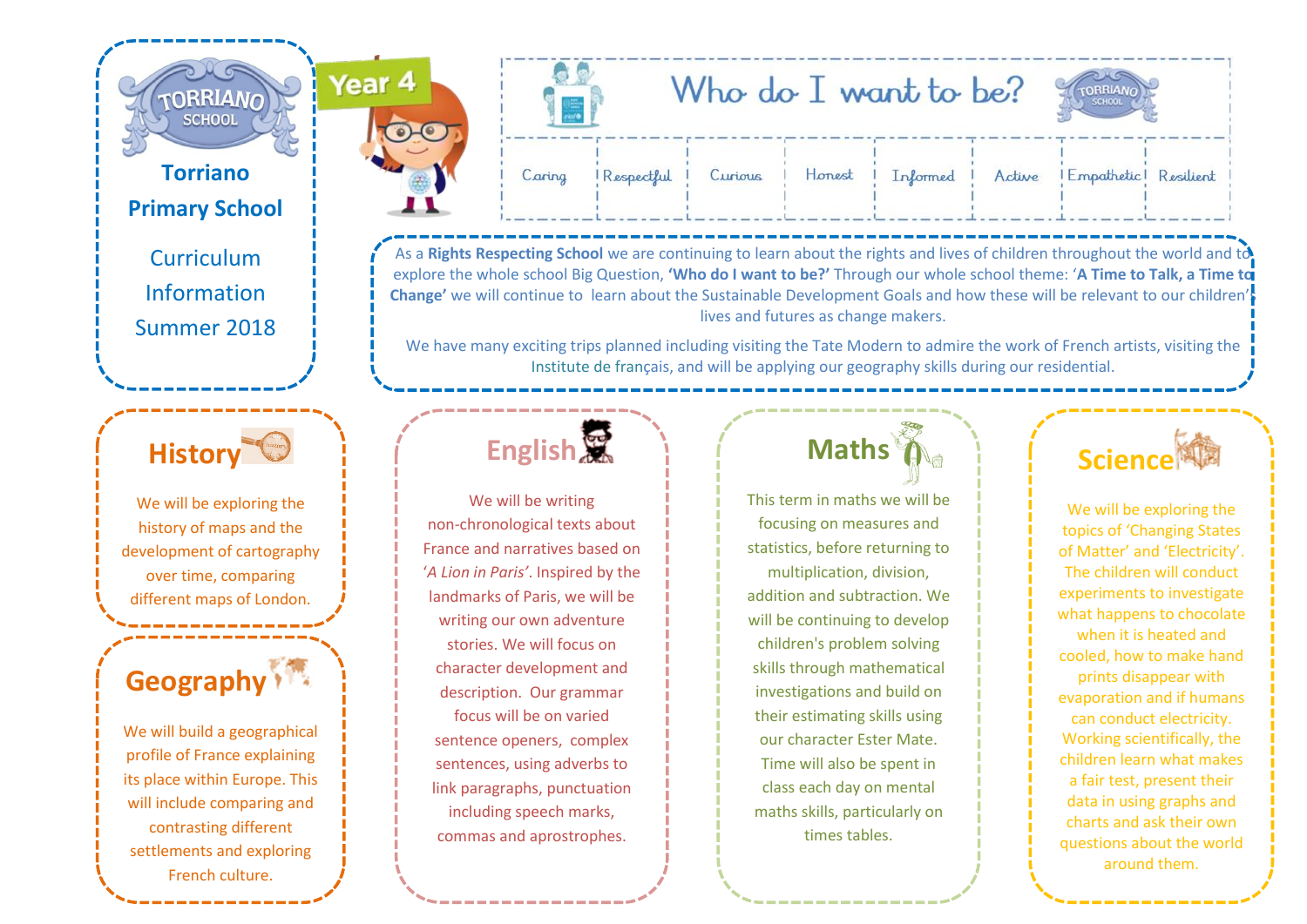#### **Torriano Primary School**

**TORRIANO SCHOOL** 

Year<sub>4</sub>

Curriculum Information Summer 2018

### **History**

We will be exploring the history of maps and the development of cartography over time, comparing different maps of London.

### **Geography**

**Geography** its place within Europe. This We will build a geographical profile of France explaining will include comparing and contrasting different settlements and exploring French culture.



As a **Rights Respecting School** we are continuing to learn about the rights and lives of children throughout the world and to explore the whole school Big Question, **'Who do I want to be?'** Through our whole school theme: '**A Time to Talk, a Time to Change'** we will continue to learn about the Sustainable Development Goals and how these will be relevant to our children's lives and futures as change makers.

We have many exciting trips planned including visiting the Tate Modern to admire the work of French artists, visiting the Institute de français, and will be applying our geography skills during our residential.

## **English**

We will be writing non-chronological texts about France and narratives based on '*A Lion in Paris'*. Inspired by the landmarks of Paris, we will be writing our own adventure stories. We will focus on character development and description. Our grammar focus will be on varied sentence openers, complex sentences, using adverbs to link paragraphs, punctuation including speech marks, commas and aprostrophes.

## **Maths**

This term in maths we will be focusing on measures and statistics, before returning to multiplication, division, addition and subtraction. We will be continuing to develop children's problem solving skills through mathematical investigations and build on their estimating skills using our character Ester Mate. Time will also be spent in class each day on mental maths skills, particularly on times tables.



We will be exploring the topics of 'Changing States of Matter' and 'Electricity'. The children will conduct experiments to investigate what happens to chocolate when it is heated and cooled, how to make hand prints disappear with evaporation and if humans can conduct electricity. Working scientifically, the children learn what makes a fair test, present their data in using graphs and charts and ask their own questions about the world around them.